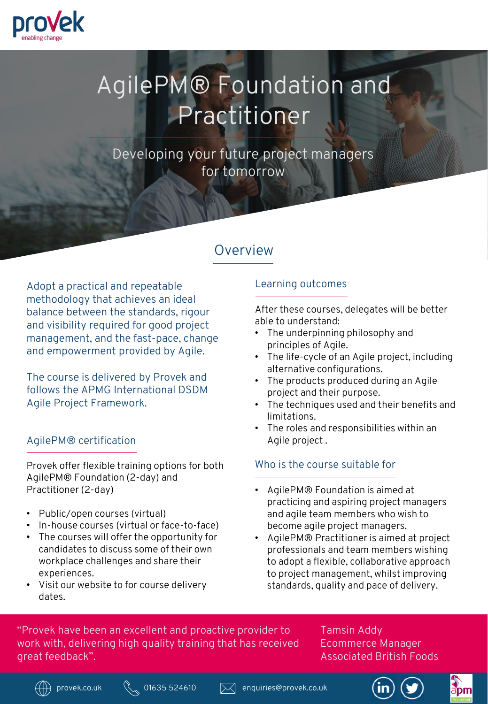

# AgilePM® Foundation and Practitioner

Developing your future project managers for tomorrow

# **Overview**

Adopt a practical and repeatable methodology that achieves an ideal balance between the standards, rigour and visibility required for good project management, and the fast-pace, change and empowerment provided by Agile.

The course is delivered by Provek and follows the APMG International DSDM Agile Project Framework.

#### AgilePM® certification

Provek offer flexible training options for both AgilePM® Foundation (2-day) and Practitioner (2-day)

- Public/open courses (virtual)
- In-house courses (virtual or face-to-face)
- The courses will offer the opportunity for candidates to discuss some of their own workplace challenges and share their experiences.
- Visit our website to for course delivery dates.

### Learning outcomes

After these courses, delegates will be better able to understand:

- The underpinning philosophy and principles of Agile.
- The life-cycle of an Agile project, including alternative configurations.
- The products produced during an Agile project and their purpose.
- The techniques used and their benefits and limitations.
- The roles and responsibilities within an Agile project .

## Who is the course suitable for

- AgilePM® Foundation is aimed at practicing and aspiring project managers and agile team members who wish to become agile project managers.
- AgilePM® Practitioner is aimed at project professionals and team members wishing to adopt a flexible, collaborative approach to project management, whilst improving standards, quality and pace of delivery.

"Provek have been an excellent and proactive provider to work with, delivering high quality training that has received great feedback".

Tamsin Addy Ecommerce Manager Associated British Foods